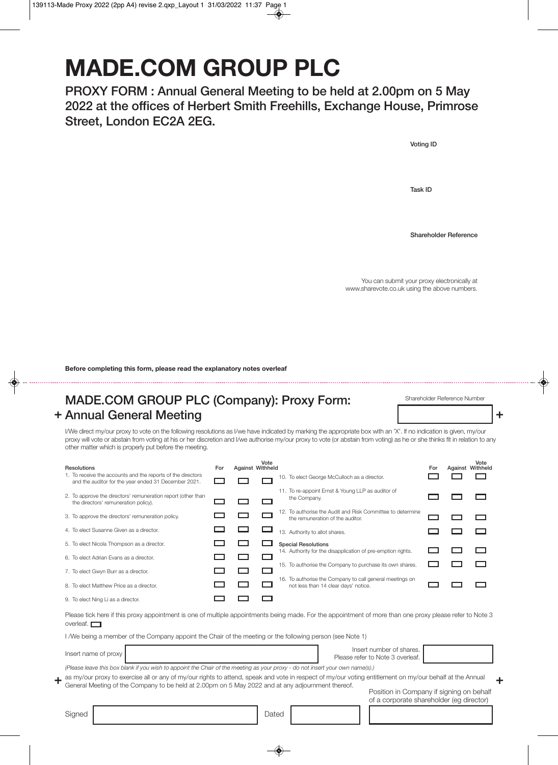## **MADE.COM GROUP PLC**

**PROXY FORM : Annual General Meeting to be held at 2.00pm on 5 May 2022 at the offices of Herbert Smith Freehills, Exchange House, Primrose Street, London EC2A 2EG.** 

**Task ID**

**Shareholder Reference**

You can submit your proxy electronically at www.sharevote.co.uk using the above numbers.

**Voting ID**

**Before completing this form, please read the explanatory notes overleaf**

## + Annual General Meeting **and Contact Services** and Tensile and Tensile and Tensile and Tensile and Tensile and Tensile and Tensile and Tensile and Tensile and Tensile and Tensile and Tensile and Tensile and Tensile and Te **MADE.COM GROUP PLC (Company): Proxy Form:**

Shareholder Reference Number

I/We direct my/our proxy to vote on the following resolutions as I/we have indicated by marking the appropriate box with an 'X'. If no indication is given, my/our proxy will vote or abstain from voting at his or her discretion and I/we authorise my/our proxy to vote (or abstain from voting) as he or she thinks fit in relation to any other matter which is properly put before the meeting.

| Resolutions                                                                                                                   | For | <b>Against Withheld</b> | Vote |                                                                                                                                                          | For | Vote<br>Against Withheld |
|-------------------------------------------------------------------------------------------------------------------------------|-----|-------------------------|------|----------------------------------------------------------------------------------------------------------------------------------------------------------|-----|--------------------------|
| 1. To receive the accounts and the reports of the directors<br>and the auditor for the year ended 31 December 2021.           |     |                         |      | 10. To elect George McCulloch as a director.                                                                                                             |     |                          |
| 2. To approve the directors' remuneration report (other than<br>the directors' remuneration policy).                          |     |                         |      | 11. To re-appoint Ernst & Young LLP as auditor of<br>the Company.                                                                                        |     |                          |
| 3. To approve the directors' remuneration policy.                                                                             |     |                         |      | 12. To authorise the Audit and Risk Committee to determine<br>the remuneration of the auditor.                                                           |     |                          |
| 4. To elect Susanne Given as a director.                                                                                      |     |                         |      | 13. Authority to allot shares.                                                                                                                           |     |                          |
| 5. To elect Nicola Thompson as a director.                                                                                    |     |                         |      | <b>Special Resolutions</b><br>14. Authority for the disapplication of pre-emption rights.                                                                |     |                          |
| 6. To elect Adrian Evans as a director.                                                                                       |     |                         |      |                                                                                                                                                          |     |                          |
| 7. To elect Gwyn Burr as a director.                                                                                          |     |                         |      | 15. To authorise the Company to purchase its own shares.                                                                                                 |     |                          |
| 8. To elect Matthew Price as a director.                                                                                      |     |                         |      | 16. To authorise the Company to call general meetings on<br>not less than 14 clear days' notice.                                                         |     |                          |
| 9. To elect Ning Li as a director.                                                                                            |     |                         |      |                                                                                                                                                          |     |                          |
| overleaf. $\Box$                                                                                                              |     |                         |      | Please tick here if this proxy appointment is one of multiple appointments being made. For the appointment of more than one proxy please refer to Note 3 |     |                          |
| I /We being a member of the Company appoint the Chair of the meeting or the following person (see Note 1)                     |     |                         |      |                                                                                                                                                          |     |                          |
| Insert name of proxy                                                                                                          |     |                         |      | Insert number of shares.<br>Please refer to Note 3 overleaf.                                                                                             |     |                          |
| (Please leave this box blank if you wish to appoint the Chair of the meeting as your proxy - do not insert your own name(s).) |     |                         |      |                                                                                                                                                          |     |                          |
|                                                                                                                               |     |                         |      |                                                                                                                                                          |     |                          |

 $+$  as my/our proxy to exercise all or any of my/our rights to attend, speak and vote in respect of my/our voting entitlement on my/our behalf at the Annual  $+$ General Meeting of the Company to be held at 2.00pm on 5 May 2022 and at any adjournment thereof.

Position in Company if signing on behalf of a corporate shareholder (eg director)

| Signed |  | <b>I</b> Dated |
|--------|--|----------------|
|--------|--|----------------|